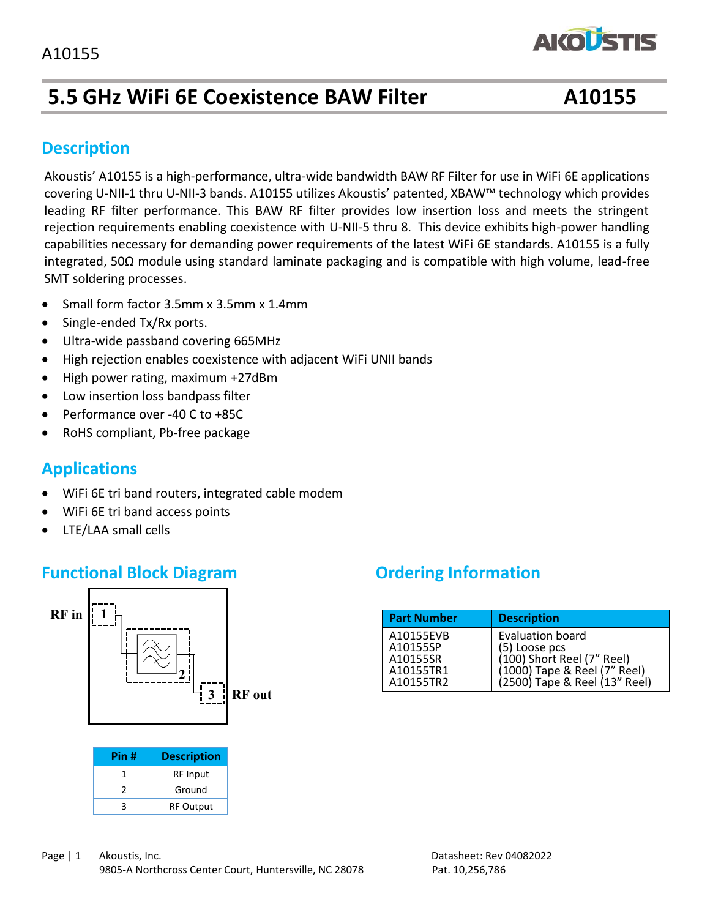## **5.5 GHz WiFi 6E Coexistence BAW Filter A10155**

**AKOUSTIS** 

#### **Description**

capabilities necessary for demanding power requirements or the fatest wirf oc standards. A10133 is a funy<br>integrated, 50Ω module using standard laminate packaging and is compatible with high volume, lead-free SMT soldering processes. Akoustis' A10155 is a high-performance, ultra-wide bandwidth BAW RF Filter for use in WiFi 6E applications covering U-NII-1 thru U-NII-3 bands. A10155 utilizes Akoustis' patented, XBAW™ technology which provides leading RF filter performance. This BAW RF filter provides low insertion loss and meets the stringent rejection requirements enabling coexistence with U-NII-5 thru 8. This device exhibits high-power handling capabilities necessary for demanding power requirements of the latest WiFi 6E standards. A10155 is a fully

- Small form factor 3.5mm x 3.5mm x 1.4mm
- Single-ended Tx/Rx ports.
- Ultra-wide passband covering 665MHz
- High rejection enables coexistence with adjacent WiFi UNII bands
- High power rating, maximum +27dBm
- Low insertion loss bandpass filter
- Performance over -40 C to +85C
- RoHS compliant, Pb-free package

#### **Applications**

- WiFi 6E tri band routers, integrated cable modem
- WiFi 6E tri band access points
- LTE/LAA small cells

#### **Functional Block Diagram** *Ordering Information*



| Pin # | <b>Description</b> |
|-------|--------------------|
| 1     | <b>RF</b> Input    |
| 2     | Ground             |
| ੨     | <b>RF Output</b>   |

| <b>Part Number</b>                                          | <b>Description</b>                                                                                                              |
|-------------------------------------------------------------|---------------------------------------------------------------------------------------------------------------------------------|
| A10155EVB<br>A10155SP<br>A10155SR<br>A10155TR1<br>A10155TR2 | Evaluation board<br>(5) Loose pcs<br>(100) Short Reel (7" Reel)<br>(1000) Tape & Reel (7" Reel)<br>(2500) Tape & Reel (7" Reel) |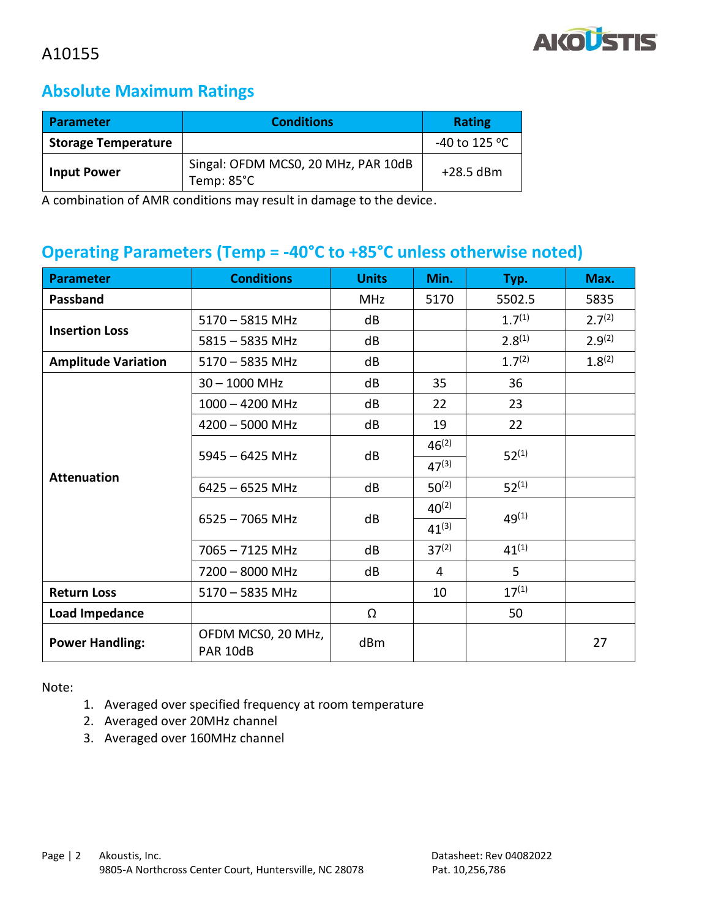

#### **Absolute Maximum Ratings**

| <b>Parameter</b>           | <b>Conditions</b>                                 |               |
|----------------------------|---------------------------------------------------|---------------|
| <b>Storage Temperature</b> |                                                   | -40 to 125 °C |
| <b>Input Power</b>         | Singal: OFDM MCS0, 20 MHz, PAR 10dB<br>Temp: 85°C | $+28.5$ dBm   |

A combination of AMR conditions may result in damage to the device.

#### **Operating Parameters (Temp = -40°C to +85°C unless otherwise noted)**

| <b>Parameter</b>                        | <b>Conditions</b>              | <b>Units</b> | Min.       | Typ.        | Max.        |
|-----------------------------------------|--------------------------------|--------------|------------|-------------|-------------|
| Passband                                |                                | <b>MHz</b>   | 5170       | 5502.5      | 5835        |
|                                         | $5170 - 5815$ MHz              | dB           |            | $1.7^{(1)}$ | $2.7^{(2)}$ |
| <b>Insertion Loss</b>                   | $5815 - 5835$ MHz              | dB           |            | $2.8^{(1)}$ | $2.9^{(2)}$ |
| <b>Amplitude Variation</b>              | $5170 - 5835$ MHz              | dB           |            | $1.7^{(2)}$ | 1.8(2)      |
|                                         | $30 - 1000$ MHz                | dB           | 35         | 36          |             |
|                                         | $1000 - 4200$ MHz              | dB           | 22         | 23          |             |
|                                         | $4200 - 5000$ MHz              | dB           | 19         | 22          |             |
|                                         | $5945 - 6425$ MHz              | dB           | $46^{(2)}$ | $52^{(1)}$  |             |
|                                         |                                |              | $47^{(3)}$ |             |             |
| <b>Attenuation</b>                      | $6425 - 6525$ MHz              | dB           | $50^{(2)}$ | $52^{(1)}$  |             |
|                                         | $6525 - 7065$ MHz              | dB           | $40^{(2)}$ | $49^{(1)}$  |             |
|                                         |                                |              | $41^{(3)}$ |             |             |
|                                         | $7065 - 7125$ MHz              | dB           | $37^{(2)}$ | $41^{(1)}$  |             |
|                                         | 7200 - 8000 MHz                | dB           | 4          | 5           |             |
| <b>Return Loss</b><br>$5170 - 5835$ MHz |                                |              | 10         | $17^{(1)}$  |             |
| Load Impedance                          |                                | Ω            |            | 50          |             |
| <b>Power Handling:</b>                  | OFDM MCS0, 20 MHz,<br>PAR 10dB | dBm          |            |             | 27          |

Note:

- 1. Averaged over specified frequency at room temperature
- 2. Averaged over 20MHz channel
- 3. Averaged over 160MHz channel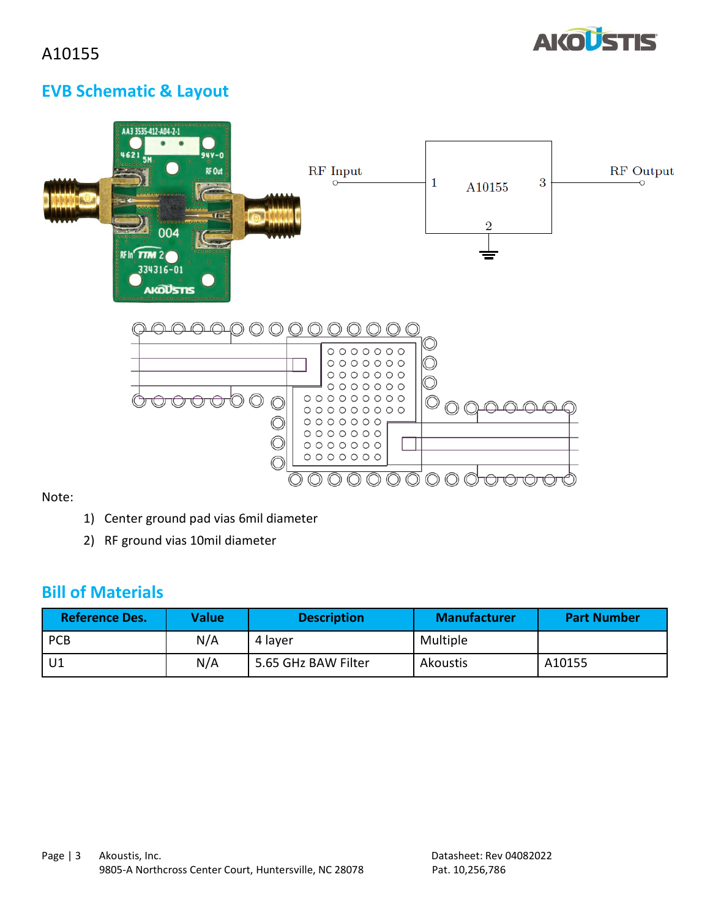

### **EVB Schematic & Layout**

| <br>AA3 3535-412-A04-2-1<br>$94Y - 0$<br>4621<br>5M <sub>o</sub><br>RF Out<br><br><b>Screening</b><br>oto<br><b>Annag</b> ererreg<br>四心<br><b>WWW.</b><br>$u =$<br>0000000000000<br>004<br><br><b>RF In<sup>c</sup>TTM 2</b><br>334316-01<br><b>AKOUSTIS</b> | RF Input                                                                                                                                             | 3<br>1<br>A10155<br>$\overline{2}$ | RF Output |
|--------------------------------------------------------------------------------------------------------------------------------------------------------------------------------------------------------------------------------------------------------------|------------------------------------------------------------------------------------------------------------------------------------------------------|------------------------------------|-----------|
| ∩                                                                                                                                                                                                                                                            | 0000000<br>0000000<br>0000000<br>0000000<br>$00000000000$<br>$00000000000$<br>$0 0 0 0 0 0 0 0$<br>$0 0 0 0 0 0 0 0$<br>0000000<br>$0 0 0 0 0 0 0 0$ |                                    |           |

Note:

- 1) Center ground pad vias 6mil diameter
- 2) RF ground vias 10mil diameter

### **Bill of Materials**

| <b>Reference Des.</b> | <b>Value</b> | <b>Description</b>  | <b>Manufacturer</b> | <b>Part Number</b> |
|-----------------------|--------------|---------------------|---------------------|--------------------|
| <b>PCB</b>            | N/A          | 4 layer             | Multiple            |                    |
| U <sub>1</sub>        | N/A          | 5.65 GHz BAW Filter | Akoustis            | A10155             |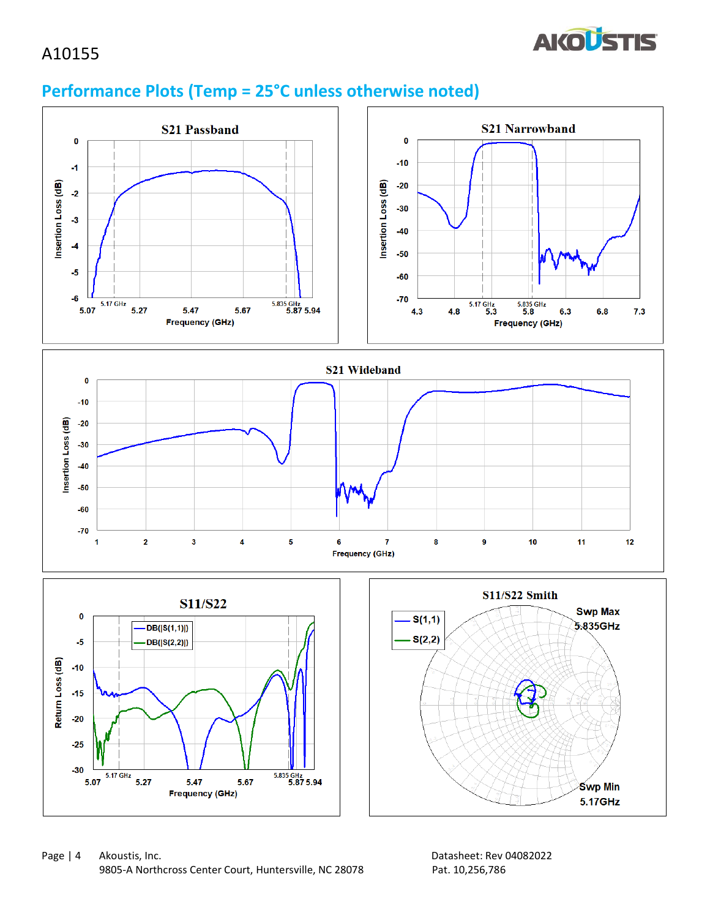

## **Performance Plots (Temp = 25°C unless otherwise noted)**

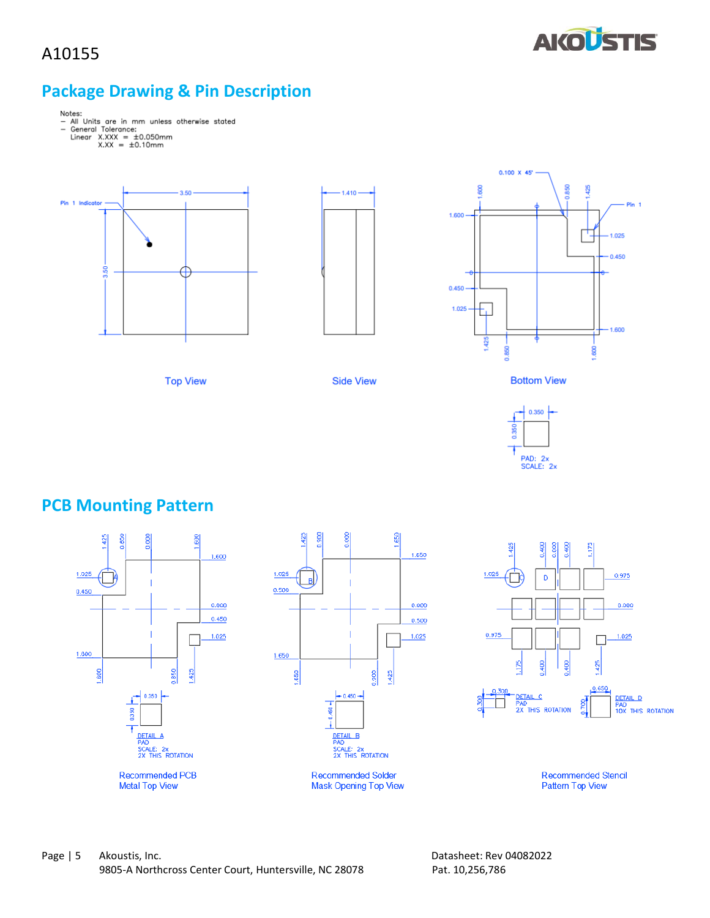

#### **Package Drawing & Pin Description**

- Notes:<br>- All Units are in mm unless otherwise stated<br>- General Tolerance:<br>Linear X.XXX = ±0.10mm<br>X.XX = ±0.10mm
	- - -





**Side View** 

**Top View** 



**Bottom View** 



## **PCB Mounting Pattern**

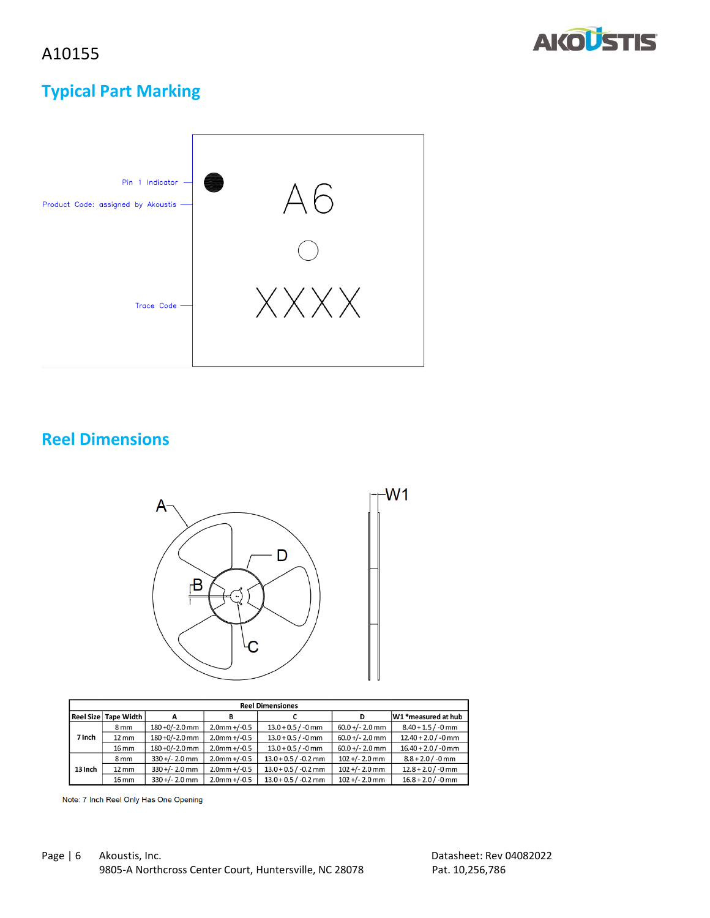



### **Typical Part Marking**



### **Reel Dimensions**



 $W1$ 

| <b>Reel Dimensiones</b> |                   |                  |                 |                        |                   |                       |
|-------------------------|-------------------|------------------|-----------------|------------------------|-------------------|-----------------------|
| <b>Reel Size</b>        | <b>Tape Width</b> | А                | в               |                        |                   | W1 *measured at hub   |
|                         | 8 <sub>mm</sub>   | 180 +0/-2.0 mm   | $2.0$ mm +/-0.5 | $13.0 + 0.5 / -0$ mm   | $60.0 +/- 2.0$ mm | $8.40 + 1.5 / -0$ mm  |
| 7 Inch                  | $12 \, \text{mm}$ | 180 +0/-2.0 mm   | $2.0$ mm +/-0.5 | $13.0 + 0.5 / -0$ mm   | $60.0 +/- 2.0$ mm | $12.40 + 2.0 / -0$ mm |
|                         | 16 mm             | 180 +0/-2.0 mm   | $2.0$ mm +/-0.5 | $13.0 + 0.5 / -0$ mm   | $60.0 +/- 2.0$ mm | $16.40 + 2.0 / -0$ mm |
|                         | 8 <sub>mm</sub>   | $330 +/- 2.0$ mm | $2.0$ mm +/-0.5 | $13.0 + 0.5 / -0.2$ mm | $102 +/- 2.0$ mm  | $8.8 + 2.0 / -0$ mm   |
| 13 Inch                 | $12 \, \text{mm}$ | $330 +/- 2.0$ mm | $2.0$ mm +/-0.5 | $13.0 + 0.5 / -0.2$ mm | $102 +/- 2.0$ mm  | $12.8 + 2.0 / -0$ mm  |
|                         | 16 mm             | $330 +/- 2.0$ mm | $2.0$ mm +/-0.5 | $13.0 + 0.5 / -0.2$ mm | $102 +/- 2.0$ mm  | $16.8 + 2.0 / -0$ mm  |

Note: 7 Inch Reel Only Has One Opening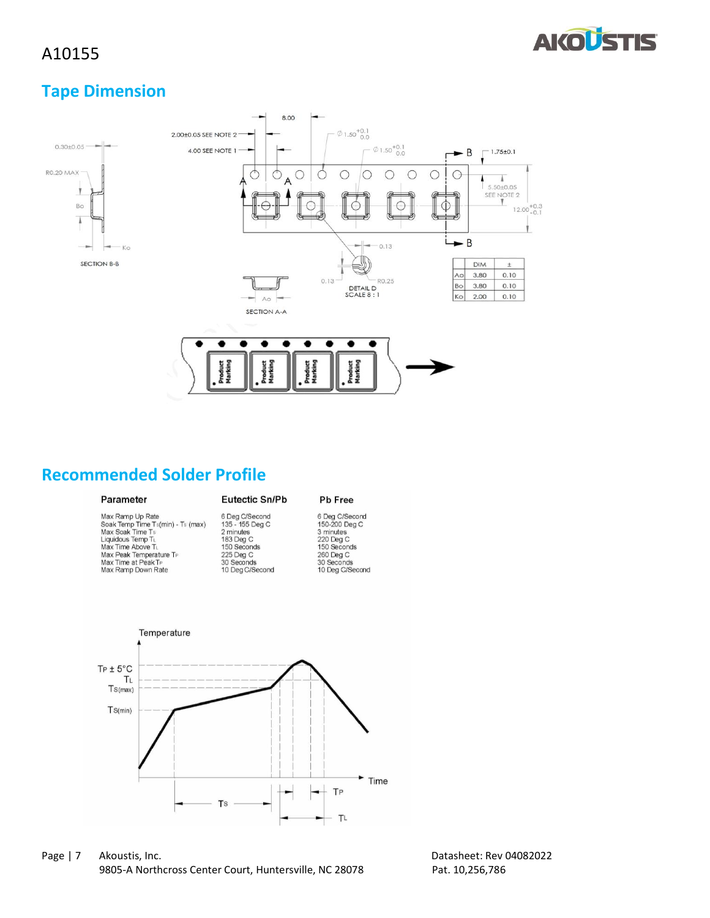

#### **Tape Dimension**



### **Recommended Solder Profile**

#### Parameter

Max Ramp Up Rate<br>Soak Temp Time Ts(min) - Ts (max)<br>Max Soak Time Ts<br>Liquidous Temp T∟ Max Time Above TL<br>Max Time Above TL<br>Max Peak Temperature TP Max Time at Peak T<sub>P</sub><br>Max Ramp Down Rate

# **Eutectic Sn/Pb** 6 Deg C/Second<br>135 - 155 Deg C<br>2 minutes<br>183 Deg C<br>150 Seconds<br>225 Deg C

#### Pb Free

6 Deg C/Secord<br>150-200 Deg C 3 minutes<br>220 Deg C 150 Seconds<br>260 Deg C 30 Seconds<br>10 Deg C/Second 30 Seconds<br>10 Deg C/Second



Page | 7 Akoustis, Inc. 2008 2022 2012 2022 2024 2024 2022 2024 2022 2024 2022 2024 2022 2022 2024 2022 2022 20 9805-A Northcross Center Court, Huntersville, NC 28078 Pat. 10,256,786